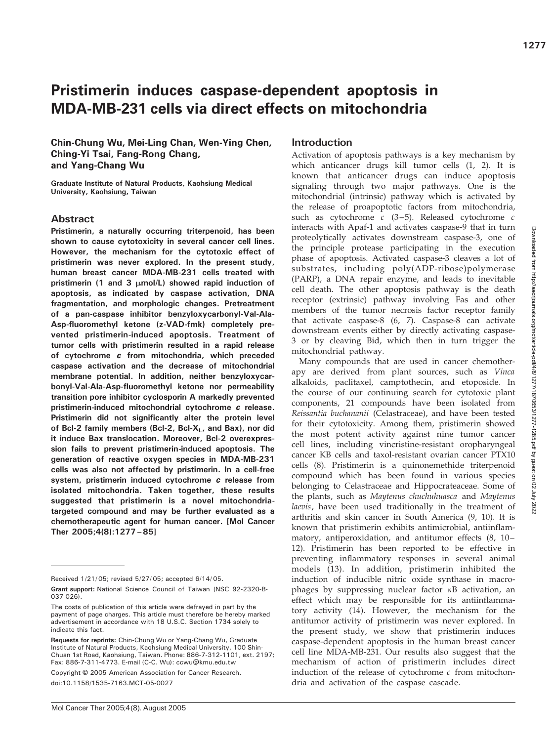# Pristimerin induces caspase-dependent apoptosis in MDA-MB-231 cells via direct effects on mitochondria

Chin-Chung Wu, Mei-Ling Chan, Wen-Ying Chen, Ching-Yi Tsai, Fang-Rong Chang, and Yang-Chang Wu

Graduate Institute of Natural Products, Kaohsiung Medical University, Kaohsiung, Taiwan

# Abstract

Pristimerin, a naturally occurring triterpenoid, has been shown to cause cytotoxicity in several cancer cell lines. However, the mechanism for the cytotoxic effect of pristimerin was never explored. In the present study, human breast cancer MDA-MB-231 cells treated with pristimerin (1 and 3  $\mu$ mol/L) showed rapid induction of apoptosis, as indicated by caspase activation, DNA fragmentation, and morphologic changes. Pretreatment of a pan-caspase inhibitor benzyloxycarbonyl-Val-Ala-Asp-fluoromethyl ketone (z-VAD-fmk) completely prevented pristimerin-induced apoptosis. Treatment of tumor cells with pristimerin resulted in a rapid release of cytochrome c from mitochondria, which preceded caspase activation and the decrease of mitochondrial membrane potential. In addition, neither benzyloxycarbonyl-Val-Ala-Asp-fluoromethyl ketone nor permeability transition pore inhibitor cyclosporin A markedly prevented pristimerin-induced mitochondrial cytochrome c release. Pristimerin did not significantly alter the protein level of Bcl-2 family members (Bcl-2, Bcl-X<sub>L</sub>, and Bax), nor did it induce Bax translocation. Moreover, Bcl-2 overexpression fails to prevent pristimerin-induced apoptosis. The generation of reactive oxygen species in MDA-MB-231 cells was also not affected by pristimerin. In a cell-free system, pristimerin induced cytochrome c release from isolated mitochondria. Taken together, these results suggested that pristimerin is a novel mitochondriatargeted compound and may be further evaluated as a chemotherapeutic agent for human cancer. [Mol Cancer Ther 2005;4(8):1277–85]

Copyright © 2005 American Association for Cancer Research.

doi:10.1158/1535-7163.MCT-05-0027

# Introduction

Activation of apoptosis pathways is a key mechanism by which anticancer drugs kill tumor cells (1, 2). It is known that anticancer drugs can induce apoptosis signaling through two major pathways. One is the mitochondrial (intrinsic) pathway which is activated by the release of proapoptotic factors from mitochondria, such as cytochrome  $c$  (3-5). Released cytochrome  $c$ interacts with Apaf-1 and activates caspase-9 that in turn proteolytically activates downstream caspase-3, one of the principle protease participating in the execution phase of apoptosis. Activated caspase-3 cleaves a lot of substrates, including poly(ADP-ribose)polymerase (PARP), a DNA repair enzyme, and leads to inevitable cell death. The other apoptosis pathway is the death receptor (extrinsic) pathway involving Fas and other members of the tumor necrosis factor receptor family that activate caspase-8 (6, 7). Caspase-8 can activate downstream events either by directly activating caspase-3 or by cleaving Bid, which then in turn trigger the mitochondrial pathway.

Many compounds that are used in cancer chemotherapy are derived from plant sources, such as Vinca alkaloids, paclitaxel, camptothecin, and etoposide. In the course of our continuing search for cytotoxic plant components, 21 compounds have been isolated from Reissantia buchananii (Celastraceae), and have been tested for their cytotoxicity. Among them, pristimerin showed the most potent activity against nine tumor cancer cell lines, including vincristine-resistant oropharyngeal cancer KB cells and taxol-resistant ovarian cancer PTX10 cells (8). Pristimerin is a quinonemethide triterpenoid compound which has been found in various species belonging to Celastraceae and Hippocrateaceae. Some of the plants, such as Maytenus chuchuhuasca and Maytenus laevis, have been used traditionally in the treatment of arthritis and skin cancer in South America (9, 10). It is known that pristimerin exhibits antimicrobial, antiinflammatory, antiperoxidation, and antitumor effects (8, 10– 12). Pristimerin has been reported to be effective in preventing inflammatory responses in several animal models (13). In addition, pristimerin inhibited the induction of inducible nitric oxide synthase in macrophages by suppressing nuclear factor  $\kappa$ B activation, an effect which may be responsible for its antiinflammatory activity (14). However, the mechanism for the antitumor activity of pristimerin was never explored. In the present study, we show that pristimerin induces caspase-dependent apoptosis in the human breast cancer cell line MDA-MB-231. Our results also suggest that the mechanism of action of pristimerin includes direct induction of the release of cytochrome  $c$  from mitochondria and activation of the caspase cascade.

Received 1/21/ 05; revised 5/27/ 05; accepted 6/14/ 05.

Grant support: National Science Council of Taiwan (NSC 92-2320-B-037-026).

The costs of publication of this article were defrayed in part by the payment of page charges. This article must therefore be hereby marked advertisement in accordance with 18 U.S.C. Section 1734 solely to indicate this fact.

Requests for reprints: Chin-Chung Wu or Yang-Chang Wu, Graduate Institute of Natural Products, Kaohsiung Medical University, 100 Shin-Chuan 1st Road, Kaohsiung, Taiwan. Phone: 886-7-312-1101, ext. 2197; Fax: 886-7-311-4773. E-mail (C-C. Wu): ccwu@kmu.edu.tw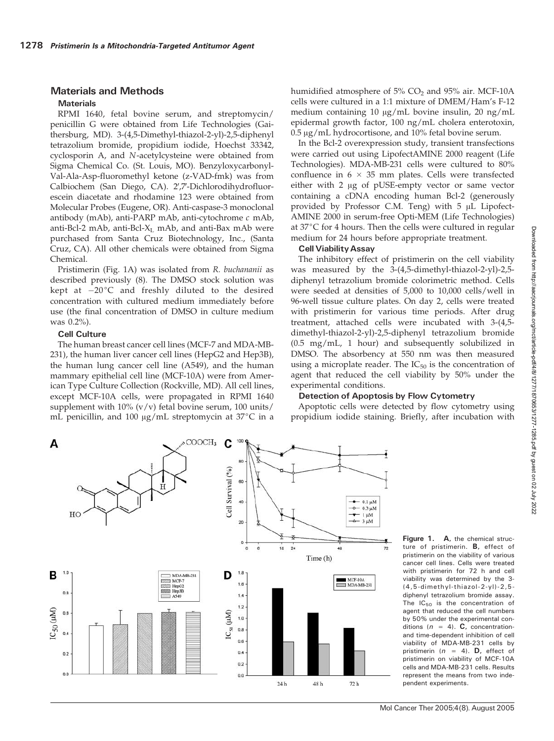# Materials and Methods

## **Materials**

RPMI 1640, fetal bovine serum, and streptomycin/ penicillin G were obtained from Life Technologies (Gaithersburg, MD). 3-(4,5-Dimethyl-thiazol-2-yl)-2,5-diphenyl tetrazolium bromide, propidium iodide, Hoechst 33342, cyclosporin A, and N-acetylcysteine were obtained from Sigma Chemical Co. (St. Louis, MO). Benzyloxycarbonyl-Val-Ala-Asp-fluoromethyl ketone (z-VAD-fmk) was from Calbiochem (San Diego, CA). 2',7'-Dichlorodihydrofluorescein diacetate and rhodamine 123 were obtained from Molecular Probes (Eugene, OR). Anti-caspase-3 monoclonal antibody (mAb), anti-PARP mAb, anti-cytochrome c mAb, anti-Bcl-2 mAb, anti-Bcl- $X_L$  mAb, and anti-Bax mAb were purchased from Santa Cruz Biotechnology, Inc., (Santa Cruz, CA). All other chemicals were obtained from Sigma Chemical.

Pristimerin (Fig. 1A) was isolated from R. buchananii as described previously (8). The DMSO stock solution was kept at  $-20^{\circ}$ C and freshly diluted to the desired concentration with cultured medium immediately before use (the final concentration of DMSO in culture medium was 0.2%).

# Cell Culture

The human breast cancer cell lines (MCF-7 and MDA-MB-231), the human liver cancer cell lines (HepG2 and Hep3B), the human lung cancer cell line (A549), and the human mammary epithelial cell line (MCF-10A) were from American Type Culture Collection (Rockville, MD). All cell lines, except MCF-10A cells, were propagated in RPMI 1640 supplement with  $10\%$  (v/v) fetal bovine serum,  $100$  units/ mL penicillin, and 100  $\mu$ g/mL streptomycin at 37°C in a humidified atmosphere of  $5\%$  CO<sub>2</sub> and  $95\%$  air. MCF-10A cells were cultured in a 1:1 mixture of DMEM/Ham's F-12 medium containing 10  $\mu$ g/mL bovine insulin, 20 ng/mL epidermal growth factor, 100 ng/mL cholera enterotoxin,  $0.5 \,\mathrm{\upmu g/mL}$  hydrocortisone, and  $10\%$  fetal bovine serum.

In the Bcl-2 overexpression study, transient transfections were carried out using LipofectAMINE 2000 reagent (Life Technologies). MDA-MB-231 cells were cultured to 80% confluence in  $6 \times 35$  mm plates. Cells were transfected either with  $2 \mu g$  of pUSE-empty vector or same vector containing a cDNA encoding human Bcl-2 (generously provided by Professor C.M. Teng) with  $5 \mu L$  Lipofect-AMINE 2000 in serum-free Opti-MEM (Life Technologies) at  $37^{\circ}$ C for 4 hours. Then the cells were cultured in regular medium for 24 hours before appropriate treatment.

## Cell ViabilityAssay

The inhibitory effect of pristimerin on the cell viability was measured by the 3-(4,5-dimethyl-thiazol-2-yl)-2,5 diphenyl tetrazolium bromide colorimetric method. Cells were seeded at densities of 5,000 to 10,000 cells/well in 96-well tissue culture plates. On day 2, cells were treated with pristimerin for various time periods. After drug treatment, attached cells were incubated with 3-(4,5 dimethyl-thiazol-2-yl)-2,5-diphenyl tetrazolium bromide (0.5 mg/mL, 1 hour) and subsequently solubilized in DMSO. The absorbency at 550 nm was then measured using a microplate reader. The  $IC_{50}$  is the concentration of agent that reduced the cell viability by 50% under the experimental conditions.

# Detection of Apoptosis by Flow Cytometry

Apoptotic cells were detected by flow cytometry using propidium iodide staining. Briefly, after incubation with



Figure 1. A, the chemical structure of pristimerin. B, effect of pristimerin on the viability of various cancer cell lines. Cells were treated with pristimerin for 72 h and cell viability was determined by the 3- (4,5-dimethyl-thiazol-2-yl)-2,5 diphenyl tetrazolium bromide assay. The  $IC_{50}$  is the concentration of agent that reduced the cell numbers by 50% under the experimental conditions ( $n = 4$ ). C, concentrationand time-dependent inhibition of cell viability of MDA-MB-231 cells by pristimerin ( $n = 4$ ). **D**, effect of pristimerin on viability of MCF-10A cells and MDA-MB-231 cells. Results represent the means from two independent experiments.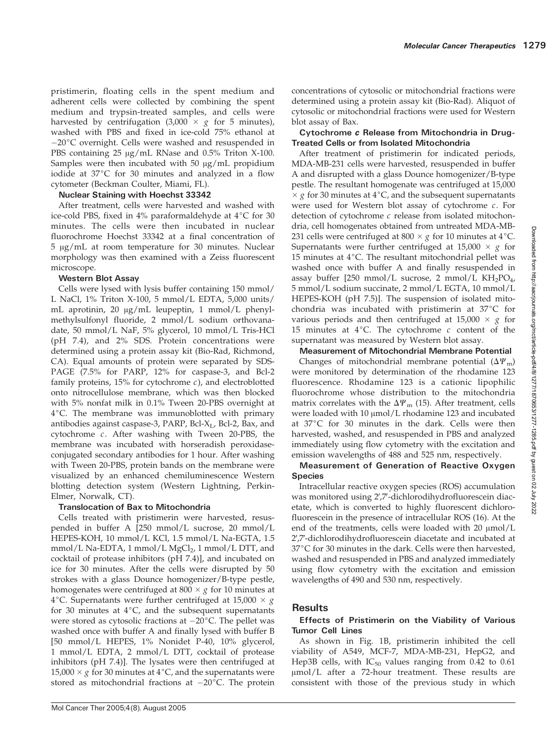pristimerin, floating cells in the spent medium and adherent cells were collected by combining the spent medium and trypsin-treated samples, and cells were harvested by centrifugation  $(3,000 \times g$  for 5 minutes), washed with PBS and fixed in ice-cold 75% ethanol at  $-20$ °C overnight. Cells were washed and resuspended in PBS containing  $25 \mu g/mL$  RNase and 0.5% Triton X-100. Samples were then incubated with 50  $\mu$ g/mL propidium iodide at  $37^{\circ}$ C for 30 minutes and analyzed in a flow cytometer (Beckman Coulter, Miami, FL).

# Nuclear Staining with Hoechst 33342

After treatment, cells were harvested and washed with ice-cold PBS, fixed in 4% paraformaldehyde at  $4^{\circ}C$  for 30 minutes. The cells were then incubated in nuclear fluorochrome Hoechst 33342 at a final concentration of  $5 \mu g/mL$  at room temperature for 30 minutes. Nuclear morphology was then examined with a Zeiss fluorescent microscope.

# Western Blot Assay

Cells were lysed with lysis buffer containing 150 mmol/ L NaCl, 1% Triton X-100, 5 mmol/L EDTA, 5,000 units/ mL aprotinin, 20 µg/mL leupeptin, 1 mmol/L phenylmethylsulfonyl fluoride, 2 mmol/L sodium orthovanadate, 50 mmol/L NaF, 5% glycerol, 10 mmol/L Tris-HCl (pH 7.4), and 2% SDS. Protein concentrations were determined using a protein assay kit (Bio-Rad, Richmond, CA). Equal amounts of protein were separated by SDS-PAGE (7.5% for PARP, 12% for caspase-3, and Bcl-2 family proteins,  $15\%$  for cytochrome *c*), and electroblotted onto nitrocellulose membrane, which was then blocked with 5% nonfat milk in 0.1% Tween 20-PBS overnight at 4°C. The membrane was immunoblotted with primary antibodies against caspase-3, PARP, Bcl- $X_L$ , Bcl-2, Bax, and cytochrome c. After washing with Tween 20-PBS, the membrane was incubated with horseradish peroxidaseconjugated secondary antibodies for 1 hour. After washing with Tween 20-PBS, protein bands on the membrane were visualized by an enhanced chemiluminescence Western blotting detection system (Western Lightning, Perkin-Elmer, Norwalk, CT).

# Translocation of Bax to Mitochondria

Cells treated with pristimerin were harvested, resuspended in buffer A [250 mmol/L sucrose, 20 mmol/L HEPES-KOH, 10 mmol/L KCl, 1.5 mmol/L Na-EGTA, 1.5 mmol/L Na-EDTA, 1 mmol/L MgCl<sub>2</sub>, 1 mmol/L DTT, and cocktail of protease inhibitors (pH 7.4)], and incubated on ice for 30 minutes. After the cells were disrupted by 50 strokes with a glass Dounce homogenizer/B-type pestle, homogenates were centrifuged at 800  $\times$  g for 10 minutes at 4°C. Supernatants were further centrifuged at 15,000  $\times$  g for 30 minutes at  $4^{\circ}C$ , and the subsequent supernatants were stored as cytosolic fractions at  $-20^{\circ}$ C. The pellet was washed once with buffer A and finally lysed with buffer B [50 mmol/L HEPES, 1% Nonidet P-40, 10% glycerol, 1 mmol/L EDTA, 2 mmol/L DTT, cocktail of protease inhibitors (pH 7.4)]. The lysates were then centrifuged at 15,000  $\times$  g for 30 minutes at 4°C, and the supernatants were stored as mitochondrial fractions at  $-20^{\circ}$ C. The protein concentrations of cytosolic or mitochondrial fractions were determined using a protein assay kit (Bio-Rad). Aliquot of cytosolic or mitochondrial fractions were used for Western blot assay of Bax.

# Cytochrome c Release from Mitochondria in Drug-Treated Cells or from Isolated Mitochondria

After treatment of pristimerin for indicated periods, MDA-MB-231 cells were harvested, resuspended in buffer A and disrupted with a glass Dounce homogenizer/B-type pestle. The resultant homogenate was centrifuged at 15,000  $\times g$  for 30 minutes at 4°C, and the subsequent supernatants were used for Western blot assay of cytochrome c. For detection of cytochrome  $c$  release from isolated mitochondria, cell homogenates obtained from untreated MDA-MB-231 cells were centrifuged at 800  $\times$  g for 10 minutes at 4 °C. Supernatants were further centrifuged at 15,000  $\times$  g for 15 minutes at  $4^{\circ}$ C. The resultant mitochondrial pellet was washed once with buffer A and finally resuspended in assay buffer [250 mmol/L sucrose, 2 mmol/L  $KH_2PO_4$ , 5 mmol/L sodium succinate, 2 mmol/L EGTA, 10 mmol/L HEPES-KOH (pH 7.5)]. The suspension of isolated mitochondria was incubated with pristimerin at  $37^{\circ}$ C for various periods and then centrifuged at  $15,000 \times g$  for 15 minutes at 4°C. The cytochrome  $c$  content of the supernatant was measured by Western blot assay.

Measurement of Mitochondrial Membrane Potential Changes of mitochondrial membrane potential  $(\Delta \Psi_{\rm m})$ were monitored by determination of the rhodamine 123 fluorescence. Rhodamine 123 is a cationic lipophilic fluorochrome whose distribution to the mitochondria matrix correlates with the  $\Delta \Psi_{\text{m}}$  (15). After treatment, cells were loaded with 10  $\mu$ mol/L rhodamine 123 and incubated at  $37^{\circ}$ C for 30 minutes in the dark. Cells were then harvested, washed, and resuspended in PBS and analyzed immediately using flow cytometry with the excitation and emission wavelengths of 488 and 525 nm, respectively.

# Measurement of Generation of Reactive Oxygen Species

Intracellular reactive oxygen species (ROS) accumulation was monitored using 2',7'-dichlorodihydrofluorescein diacetate, which is converted to highly fluorescent dichlorofluorescein in the presence of intracellular ROS (16). At the end of the treatments, cells were loaded with  $20 \mu m o l/L$ 2',7'-dichlorodihydrofluorescein diacetate and incubated at  $37^{\circ}$ C for 30 minutes in the dark. Cells were then harvested, washed and resuspended in PBS and analyzed immediately using flow cytometry with the excitation and emission wavelengths of 490 and 530 nm, respectively.

# **Results**

# Effects of Pristimerin on the Viability of Various Tumor Cell Lines

As shown in Fig. 1B, pristimerin inhibited the cell viability of A549, MCF-7, MDA-MB-231, HepG2, and Hep3B cells, with  $IC_{50}$  values ranging from 0.42 to 0.61 µmol/L after a 72-hour treatment. These results are consistent with those of the previous study in which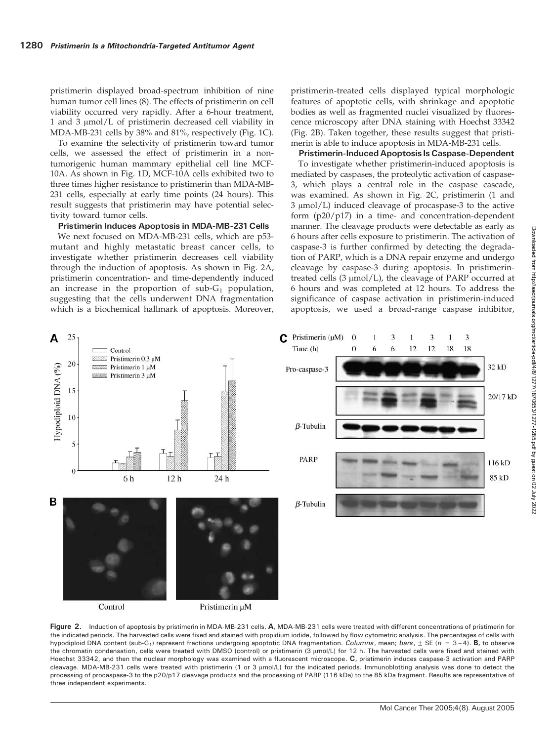pristimerin displayed broad-spectrum inhibition of nine human tumor cell lines (8). The effects of pristimerin on cell viability occurred very rapidly. After a 6-hour treatment, 1 and 3  $\mu$ mol/L of pristimerin decreased cell viability in MDA-MB-231 cells by 38% and 81%, respectively (Fig. 1C).

To examine the selectivity of pristimerin toward tumor cells, we assessed the effect of pristimerin in a nontumorigenic human mammary epithelial cell line MCF-10A. As shown in Fig. 1D, MCF-10A cells exhibited two to three times higher resistance to pristimerin than MDA-MB-231 cells, especially at early time points (24 hours). This result suggests that pristimerin may have potential selectivity toward tumor cells.

Pristimerin Induces Apoptosis in MDA-MB-231 Cells

We next focused on MDA-MB-231 cells, which are p53 mutant and highly metastatic breast cancer cells, to investigate whether pristimerin decreases cell viability through the induction of apoptosis. As shown in Fig. 2A, pristimerin concentration- and time-dependently induced an increase in the proportion of  $sub-G_1$  population, suggesting that the cells underwent DNA fragmentation which is a biochemical hallmark of apoptosis. Moreover, pristimerin-treated cells displayed typical morphologic features of apoptotic cells, with shrinkage and apoptotic bodies as well as fragmented nuclei visualized by fluorescence microscopy after DNA staining with Hoechst 33342 (Fig. 2B). Taken together, these results suggest that pristimerin is able to induce apoptosis in MDA-MB-231 cells.

Pristimerin-Induced Apoptosis Is Caspase-Dependent

To investigate whether pristimerin-induced apoptosis is mediated by caspases, the proteolytic activation of caspase-3, which plays a central role in the caspase cascade, was examined. As shown in Fig. 2C, pristimerin (1 and  $3 \mu mol/L$ ) induced cleavage of procaspase- $3$  to the active form (p20/p17) in a time- and concentration-dependent manner. The cleavage products were detectable as early as 6 hours after cells exposure to pristimerin. The activation of caspase-3 is further confirmed by detecting the degradation of PARP, which is a DNA repair enzyme and undergo cleavage by caspase-3 during apoptosis. In pristimerintreated cells  $(3 \mu \text{mol/L})$ , the cleavage of PARP occurred at 6 hours and was completed at 12 hours. To address the significance of caspase activation in pristimerin-induced apoptosis, we used a broad-range caspase inhibitor,





Figure 2. Induction of apoptosis by pristimerin in MDA-MB-231 cells. A, MDA-MB-231 cells were treated with different concentrations of pristimerin for the indicated periods. The harvested cells were fixed and stained with propidium iodide, followed by flow cytometric analysis. The percentages of cells with hypodiploid DNA content (sub-G<sub>1</sub>) represent fractions undergoing apoptotic DNA fragmentation. *Columns*, mean; bars,  $\pm$  SE (n = 3-4). **B**, to observe the chromatin condensation, cells were treated with DMSO (control) or pristimerin (3 µmol/L) for 12 h. The harvested cells were fixed and stained with Hoechst 33342, and then the nuclear morphology was examined with a fluorescent microscope. C, pristimerin induces caspase-3 activation and PARP cleavage. MDA-MB-231 cells were treated with pristimerin (1 or 3 µmol/L) for the indicated periods. Immunoblotting analysis was done to detect the processing of procaspase-3 to the p20/p17 cleavage products and the processing of PARP (116 kDa) to the 85 kDa fragment. Results are representative of three independent experiments.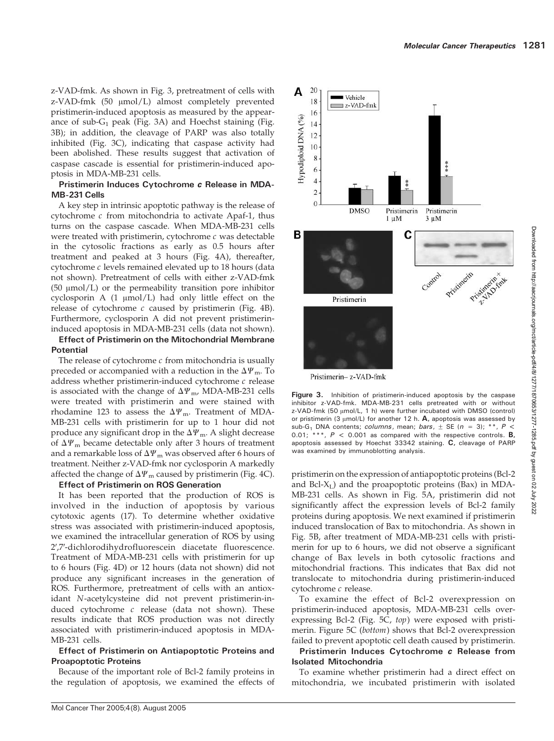z-VAD-fmk. As shown in Fig. 3, pretreatment of cells with  $z$ -VAD-fmk (50  $\mu$ mol/L) almost completely prevented pristimerin-induced apoptosis as measured by the appearance of sub- $G_1$  peak (Fig. 3A) and Hoechst staining (Fig. 3B); in addition, the cleavage of PARP was also totally inhibited (Fig. 3C), indicating that caspase activity had been abolished. These results suggest that activation of caspase cascade is essential for pristimerin-induced apoptosis in MDA-MB-231 cells.

## Pristimerin Induces Cytochrome c Release in MDA-MB-231Cells

A key step in intrinsic apoptotic pathway is the release of cytochrome c from mitochondria to activate Apaf-1, thus turns on the caspase cascade. When MDA-MB-231 cells were treated with pristimerin, cytochrome  $c$  was detectable in the cytosolic fractions as early as 0.5 hours after treatment and peaked at 3 hours (Fig. 4A), thereafter, cytochrome c levels remained elevated up to 18 hours (data not shown). Pretreatment of cells with either z-VAD-fmk  $(50 \mu \text{mol/L})$  or the permeability transition pore inhibitor cyclosporin A  $(1 \mu mol/L)$  had only little effect on the release of cytochrome  $c$  caused by pristimerin (Fig. 4B). Furthermore, cyclosporin A did not prevent pristimerininduced apoptosis in MDA-MB-231 cells (data not shown).

#### Effect of Pristimerin on the Mitochondrial Membrane **Potential**

The release of cytochrome  $c$  from mitochondria is usually preceded or accompanied with a reduction in the  $\Delta \Psi_{\rm m}$ . To address whether pristimerin-induced cytochrome  $c$  release is associated with the change of  $\Delta \Psi_{\text{m}}$ , MDA-MB-231 cells were treated with pristimerin and were stained with rhodamine 123 to assess the  $\Delta \Psi_{\text{m}}$ . Treatment of MDA-MB-231 cells with pristimerin for up to 1 hour did not produce any significant drop in the  $\Delta \Psi_{\text{m}}$ . A slight decrease of  $\Delta \Psi_{\rm m}$  became detectable only after 3 hours of treatment and a remarkable loss of  $\Delta \Psi_{\rm m}$  was observed after 6 hours of treatment. Neither z-VAD-fmk nor cyclosporin A markedly affected the change of  $\Delta \Psi_{\rm m}$  caused by pristimerin (Fig. 4C).

## Effect of Pristimerin on ROS Generation

It has been reported that the production of ROS is involved in the induction of apoptosis by various cytotoxic agents (17). To determine whether oxidative stress was associated with pristimerin-induced apoptosis, we examined the intracellular generation of ROS by using 2',7'-dichlorodihydrofluorescein diacetate fluorescence. Treatment of MDA-MB-231 cells with pristimerin for up to 6 hours (Fig. 4D) or 12 hours (data not shown) did not produce any significant increases in the generation of ROS. Furthermore, pretreatment of cells with an antioxidant N-acetylcysteine did not prevent pristimerin-induced cytochrome  $c$  release (data not shown). These results indicate that ROS production was not directly associated with pristimerin-induced apoptosis in MDA-MB-231 cells.

# Effect of Pristimerin on Antiapoptotic Proteins and Proapoptotic Proteins

Because of the important role of Bcl-2 family proteins in the regulation of apoptosis, we examined the effects of



Pristimerin– z-VAD-fmk

Figure 3. Inhibition of pristimerin-induced apoptosis by the caspase inhibitor z-VAD-fmk. MDA-MB-231 cells pretreated with or without z-VAD-fmk (50 µmol/L, 1 h) were further incubated with DMSO (control) or pristimerin (3  $\mu$ mol/L) for another 12 h. A, apoptosis was assessed by sub-G<sub>1</sub> DNA contents; *columns*, mean; *bars*,  $\pm$  SE (n = 3); \*\*, P < 0.01; \*\*\*,  $P$  < 0.001 as compared with the respective controls. **B**, apoptosis assessed by Hoechst 33342 staining. C, cleavage of PARP was examined by immunoblotting analysis.

pristimerin on the expression of antiapoptotic proteins (Bcl-2 and Bcl- $X_L$ ) and the proapoptotic proteins (Bax) in MDA-MB-231 cells. As shown in Fig. 5A, pristimerin did not significantly affect the expression levels of Bcl-2 family proteins during apoptosis. We next examined if pristimerin induced translocation of Bax to mitochondria. As shown in Fig. 5B, after treatment of MDA-MB-231 cells with pristimerin for up to 6 hours, we did not observe a significant change of Bax levels in both cytosolic fractions and mitochondrial fractions. This indicates that Bax did not translocate to mitochondria during pristimerin-induced cytochrome c release.

To examine the effect of Bcl-2 overexpression on pristimerin-induced apoptosis, MDA-MB-231 cells overexpressing Bcl-2 (Fig. 5C, top) were exposed with pristimerin. Figure 5C (bottom) shows that Bcl-2 overexpression failed to prevent apoptotic cell death caused by pristimerin.

# Pristimerin Induces Cytochrome c Release from Isolated Mitochondria

To examine whether pristimerin had a direct effect on mitochondria, we incubated pristimerin with isolated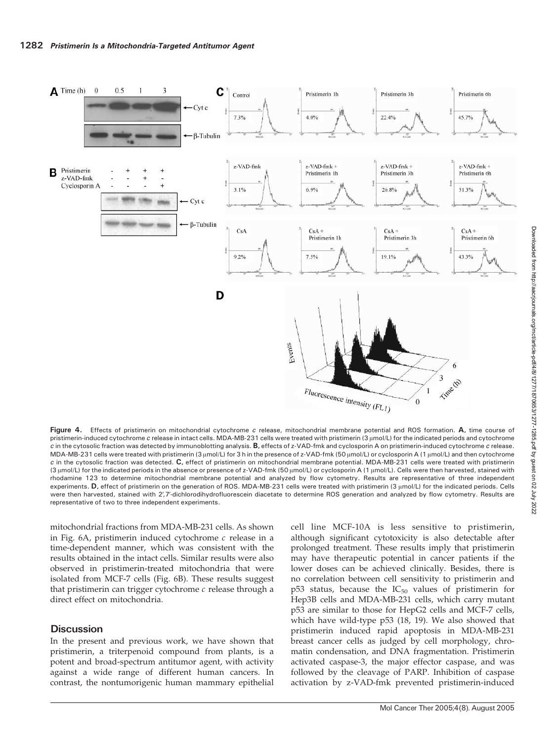

Figure 4. Effects of pristimerin on mitochondrial cytochrome c release, mitochondrial membrane potential and ROS formation. A, time course of pristimerin-induced cytochrome c release in intact cells. MDA-MB-231 cells were treated with pristimerin (3 µmol/L) for the indicated periods and cytochrome c in the cytosolic fraction was detected by immunoblotting analysis. B, effects of z-VAD-fmk and cyclosporin A on pristimerin-induced cytochrome c release. MDA-MB-231 cells were treated with pristimerin (3 μmol/L) for 3 h in the presence of z-VAD-fmk (50 μmol/L) or cyclosporin A (1 μmol/L) and then cytochrome  $c$  in the cytosolic fraction was detected.  $C$ , effect of pristimerin on mitochondrial membrane potential. MDA-MB-231 cells were treated with pristimerin (3 µmol/L) for the indicated periods in the absence or presence of z-VAD-fmk (50 µmol/L) or cyclosporin A (1 µmol/L). Cells were then harvested, stained with rhodamine 123 to determine mitochondrial membrane potential and analyzed by flow cytometry. Results are representative of three independent experiments. D, effect of pristimerin on the generation of ROS. MDA-MB-231 cells were treated with pristimerin (3 µmol/L) for the indicated periods. Cells were then harvested, stained with 2',7'-dichlorodihydrofluorescein diacetate to determine ROS generation and analyzed by flow cytometry. Results are representative of two to three independent experiments.

mitochondrial fractions from MDA-MB-231 cells. As shown in Fig. 6A, pristimerin induced cytochrome c release in a time-dependent manner, which was consistent with the results obtained in the intact cells. Similar results were also observed in pristimerin-treated mitochondria that were isolated from MCF-7 cells (Fig. 6B). These results suggest that pristimerin can trigger cytochrome  $c$  release through a direct effect on mitochondria.

# **Discussion**

In the present and previous work, we have shown that pristimerin, a triterpenoid compound from plants, is a potent and broad-spectrum antitumor agent, with activity against a wide range of different human cancers. In contrast, the nontumorigenic human mammary epithelial

cell line MCF-10A is less sensitive to pristimerin, although significant cytotoxicity is also detectable after prolonged treatment. These results imply that pristimerin may have therapeutic potential in cancer patients if the lower doses can be achieved clinically. Besides, there is no correlation between cell sensitivity to pristimerin and  $p53$  status, because the  $IC_{50}$  values of pristimerin for Hep3B cells and MDA-MB-231 cells, which carry mutant p53 are similar to those for HepG2 cells and MCF-7 cells, which have wild-type p53 (18, 19). We also showed that pristimerin induced rapid apoptosis in MDA-MB-231 breast cancer cells as judged by cell morphology, chromatin condensation, and DNA fragmentation. Pristimerin activated caspase-3, the major effector caspase, and was followed by the cleavage of PARP. Inhibition of caspase activation by z-VAD-fmk prevented pristimerin-induced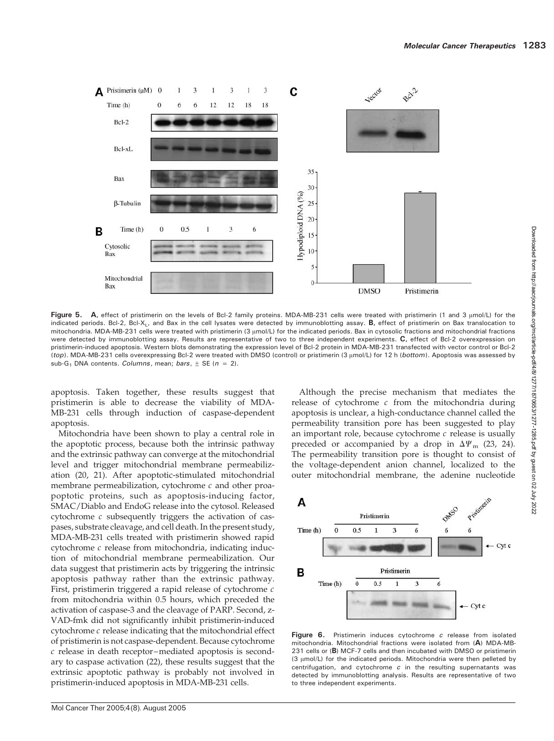

Figure 5. A, effect of pristimerin on the levels of Bcl-2 family proteins. MDA-MB-231 cells were treated with pristimerin (1 and 3  $\mu$ mol/L) for the indicated periods. Bcl-2, Bcl-X<sub>L</sub>, and Bax in the cell lysates were detected by immunoblotting assay. B, effect of pristimerin on Bax translocation to mitochondria. MDA-MB-231 cells were treated with pristimerin (3 umol/L) for the indicated periods. Bax in cytosolic fractions and mitochondrial fractions were detected by immunoblotting assay. Results are representative of two to three independent experiments. C, effect of Bcl-2 overexpression on pristimerin-induced apoptosis. Western blots demonstrating the expression level of Bcl-2 protein in MDA-MB-231 transfected with vector control or Bcl-2 (top). MDA-MB-231 cells overexpressing Bcl-2 were treated with DMSO (control) or pristimerin (3 µmol/L) for 12 h (bottom). Apoptosis was assessed by sub-G<sub>1</sub> DNA contents. *Columns*, mean; bars,  $\pm$  SE (n = 2).

apoptosis. Taken together, these results suggest that pristimerin is able to decrease the viability of MDA-MB-231 cells through induction of caspase-dependent apoptosis.

Mitochondria have been shown to play a central role in the apoptotic process, because both the intrinsic pathway and the extrinsic pathway can converge at the mitochondrial level and trigger mitochondrial membrane permeabilization (20, 21). After apoptotic-stimulated mitochondrial membrane permeabilization, cytochrome  $c$  and other proapoptotic proteins, such as apoptosis-inducing factor, SMAC/Diablo and EndoG release into the cytosol. Released cytochrome c subsequently triggers the activation of caspases, substrate cleavage, and cell death. In the present study, MDA-MB-231 cells treated with pristimerin showed rapid cytochrome c release from mitochondria, indicating induction of mitochondrial membrane permeabilization. Our data suggest that pristimerin acts by triggering the intrinsic apoptosis pathway rather than the extrinsic pathway. First, pristimerin triggered a rapid release of cytochrome c from mitochondria within 0.5 hours, which preceded the activation of caspase-3 and the cleavage of PARP. Second, z-VAD-fmk did not significantly inhibit pristimerin-induced cytochrome  $c$  release indicating that the mitochondrial effect of pristimerin is not caspase-dependent. Because cytochrome c release in death receptor–mediated apoptosis is secondary to caspase activation (22), these results suggest that the extrinsic apoptotic pathway is probably not involved in pristimerin-induced apoptosis in MDA-MB-231 cells.

Although the precise mechanism that mediates the release of cytochrome  $c$  from the mitochondria during apoptosis is unclear, a high-conductance channel called the permeability transition pore has been suggested to play an important role, because cytochrome  $c$  release is usually preceded or accompanied by a drop in  $\Delta\Psi_{\rm m}$  (23, 24). The permeability transition pore is thought to consist of the voltage-dependent anion channel, localized to the outer mitochondrial membrane, the adenine nucleotide



Figure 6. Pristimerin induces cytochrome c release from isolated mitochondria. Mitochondrial fractions were isolated from (A) MDA-MB-231 cells or (B) MCF-7 cells and then incubated with DMSO or pristimerin (3 µmol/L) for the indicated periods. Mitochondria were then pelleted by centrifugation, and cytochrome  $c$  in the resulting supernatants was detected by immunoblotting analysis. Results are representative of two to three independent experiments.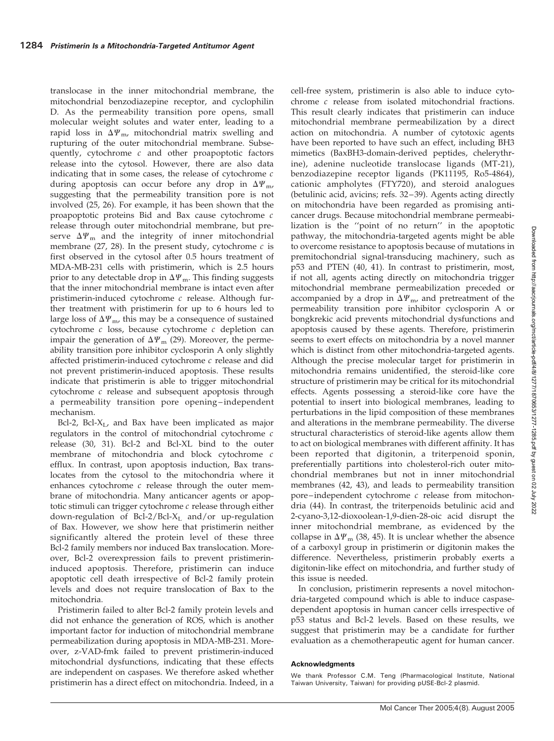translocase in the inner mitochondrial membrane, the mitochondrial benzodiazepine receptor, and cyclophilin D. As the permeability transition pore opens, small molecular weight solutes and water enter, leading to a rapid loss in  $\Delta \Psi_{\text{m}}$ , mitochondrial matrix swelling and rupturing of the outer mitochondrial membrane. Subsequently, cytochrome c and other proapoptotic factors release into the cytosol. However, there are also data indicating that in some cases, the release of cytochrome  $c$ during apoptosis can occur before any drop in  $\Delta \Psi_{\text{m}}$ , suggesting that the permeability transition pore is not involved (25, 26). For example, it has been shown that the proapoptotic proteins Bid and Bax cause cytochrome c release through outer mitochondrial membrane, but preserve  $\Delta \Psi_{\rm m}$  and the integrity of inner mitochondrial membrane (27, 28). In the present study, cytochrome  $c$  is first observed in the cytosol after 0.5 hours treatment of MDA-MB-231 cells with pristimerin, which is 2.5 hours prior to any detectable drop in  $\Delta \Psi_{\rm m}$ . This finding suggests that the inner mitochondrial membrane is intact even after pristimerin-induced cytochrome  $c$  release. Although further treatment with pristimerin for up to 6 hours led to large loss of  $\Delta \Psi_{\rm m}$ , this may be a consequence of sustained cytochrome c loss, because cytochrome c depletion can impair the generation of  $\Delta \Psi_{\text{m}}$  (29). Moreover, the permeability transition pore inhibitor cyclosporin A only slightly affected pristimerin-induced cytochrome  $c$  release and did not prevent pristimerin-induced apoptosis. These results indicate that pristimerin is able to trigger mitochondrial cytochrome c release and subsequent apoptosis through a permeability transition pore opening–independent mechanism.

Bcl-2, Bcl- $X_L$ , and Bax have been implicated as major regulators in the control of mitochondrial cytochrome c release (30, 31). Bcl-2 and Bcl-XL bind to the outer membrane of mitochondria and block cytochrome c efflux. In contrast, upon apoptosis induction, Bax translocates from the cytosol to the mitochondria where it enhances cytochrome  $c$  release through the outer membrane of mitochondria. Many anticancer agents or apoptotic stimuli can trigger cytochrome  $c$  release through either down-regulation of Bcl-2/Bcl-X<sub>L</sub> and/or up-regulation of Bax. However, we show here that pristimerin neither significantly altered the protein level of these three Bcl-2 family members nor induced Bax translocation. Moreover, Bcl-2 overexpression fails to prevent pristimerininduced apoptosis. Therefore, pristimerin can induce apoptotic cell death irrespective of Bcl-2 family protein levels and does not require translocation of Bax to the mitochondria.

Pristimerin failed to alter Bcl-2 family protein levels and did not enhance the generation of ROS, which is another important factor for induction of mitochondrial membrane permeabilization during apoptosis in MDA-MB-231. Moreover, z-VAD-fmk failed to prevent pristimerin-induced mitochondrial dysfunctions, indicating that these effects are independent on caspases. We therefore asked whether pristimerin has a direct effect on mitochondria. Indeed, in a

cell-free system, pristimerin is also able to induce cytochrome c release from isolated mitochondrial fractions. This result clearly indicates that pristimerin can induce mitochondrial membrane permeabilization by a direct action on mitochondria. A number of cytotoxic agents have been reported to have such an effect, including BH3 mimetics (BaxBH3-domain-derived peptides, chelerythrine), adenine nucleotide translocase ligands (MT-21), benzodiazepine receptor ligands (PK11195, Ro5-4864), cationic ampholytes (FTY720), and steroid analogues (betulinic acid, avicins; refs. 32–39). Agents acting directly on mitochondria have been regarded as promising anticancer drugs. Because mitochondrial membrane permeabilization is the ''point of no return'' in the apoptotic pathway, the mitochondria-targeted agents might be able to overcome resistance to apoptosis because of mutations in premitochondrial signal-transducing machinery, such as p53 and PTEN (40, 41). In contrast to pristimerin, most, if not all, agents acting directly on mitochondria trigger mitochondrial membrane permeabilization preceded or accompanied by a drop in  $\Delta \Psi_{\rm m}$ , and pretreatment of the permeability transition pore inhibitor cyclosporin A or bongkrekic acid prevents mitochondrial dysfunctions and apoptosis caused by these agents. Therefore, pristimerin seems to exert effects on mitochondria by a novel manner which is distinct from other mitochondria-targeted agents. Although the precise molecular target for pristimerin in mitochondria remains unidentified, the steroid-like core structure of pristimerin may be critical for its mitochondrial effects. Agents possessing a steroid-like core have the potential to insert into biological membranes, leading to perturbations in the lipid composition of these membranes and alterations in the membrane permeability. The diverse structural characteristics of steroid-like agents allow them to act on biological membranes with different affinity. It has been reported that digitonin, a triterpenoid sponin, preferentially partitions into cholesterol-rich outer mitochondrial membranes but not in inner mitochondrial membranes (42, 43), and leads to permeability transition pore–independent cytochrome  $c$  release from mitochondria (44). In contrast, the triterpenoids betulinic acid and 2-cyano-3,12-dioxoolean-1,9-dien-28-oic acid disrupt the inner mitochondrial membrane, as evidenced by the collapse in  $\Delta \Psi_{\rm m}$  (38, 45). It is unclear whether the absence of a carboxyl group in pristimerin or digitonin makes the difference. Nevertheless, pristimerin probably exerts a digitonin-like effect on mitochondria, and further study of this issue is needed.

In conclusion, pristimerin represents a novel mitochondria-targeted compound which is able to induce caspasedependent apoptosis in human cancer cells irrespective of p53 status and Bcl-2 levels. Based on these results, we suggest that pristimerin may be a candidate for further evaluation as a chemotherapeutic agent for human cancer.

#### Acknowledgments

We thank Professor C.M. Teng (Pharmacological Institute, National Taiwan University, Taiwan) for providing pUSE-Bcl-2 plasmid.